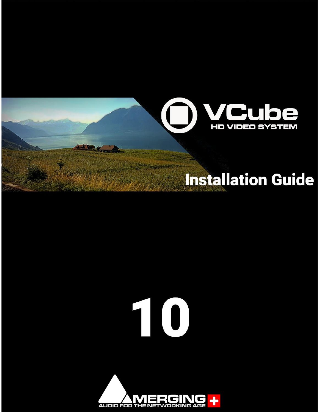

# 

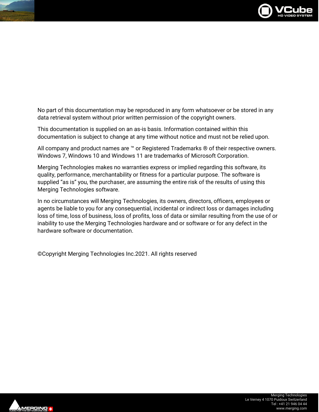

No part of this documentation may be reproduced in any form whatsoever or be stored in any data retrieval system without prior written permission of the copyright owners.

This documentation is supplied on an as-is basis. Information contained within this documentation is subject to change at any time without notice and must not be relied upon.

All company and product names are ™ or Registered Trademarks ® of their respective owners. Windows 7, Windows 10 and Windows 11 are trademarks of Microsoft Corporation.

Merging Technologies makes no warranties express or implied regarding this software, its quality, performance, merchantability or fitness for a particular purpose. The software is supplied "as is" you, the purchaser, are assuming the entire risk of the results of using this Merging Technologies software.

In no circumstances will Merging Technologies, its owners, directors, officers, employees or agents be liable to you for any consequential, incidental or indirect loss or damages including loss of time, loss of business, loss of profits, loss of data or similar resulting from the use of or inability to use the Merging Technologies hardware and or software or for any defect in the hardware software or documentation.

©Copyright Merging Technologies Inc.2021. All rights reserved

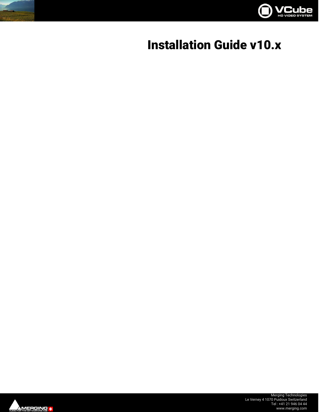

# **Installation Guide v10.x**

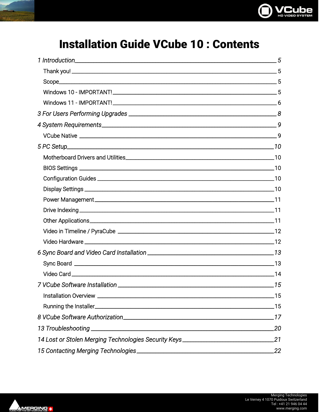

## **Installation Guide VCube 10: Contents**

| 4 System Requirements. 4 System Requirements.                                    |     |
|----------------------------------------------------------------------------------|-----|
|                                                                                  |     |
|                                                                                  |     |
|                                                                                  |     |
|                                                                                  |     |
|                                                                                  |     |
|                                                                                  |     |
|                                                                                  |     |
|                                                                                  |     |
|                                                                                  |     |
|                                                                                  |     |
|                                                                                  |     |
|                                                                                  |     |
|                                                                                  |     |
|                                                                                  |     |
|                                                                                  |     |
|                                                                                  |     |
|                                                                                  |     |
|                                                                                  |     |
|                                                                                  | .20 |
| 14 Lost or Stolen Merging Technologies Security Keys____________________________ | 21  |
| 15 Contacting Merging Technologies                                               | 22  |

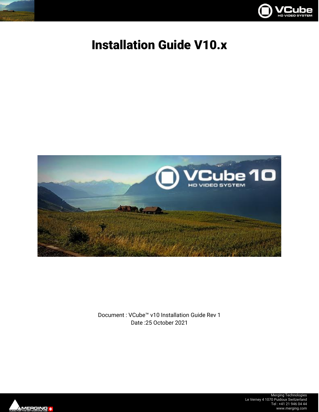



# Installation Guide V10.x



Document : VCube™ v10 Installation Guide Rev 1 Date :25 October 2021

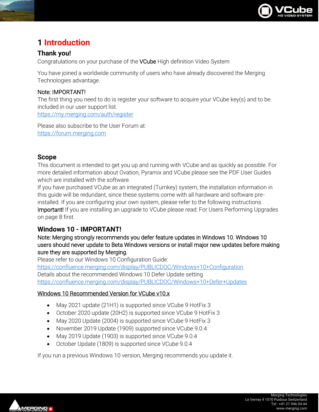

## <span id="page-5-0"></span>**1 Introduction**

#### <span id="page-5-1"></span>**Thank you!**

Congratulations on your purchase of the VCube High definition Video System

You have joined a worldwide community of users who have already discovered the Merging Technologies advantage.

#### Note: IMPORTANT!

The first thing you need to do is register your software to acquire your VCube key(s) and to be included in our user support list.

<https://my.merging.com/auth/register>

Please also subscribe to the User Forum at: [https://forum.merging.com](https://forum.merging.com/)

#### <span id="page-5-2"></span>**Scope**

This document is intended to get you up and running with VCube and as quickly as possible. For more detailed information about Ovation, Pyramix and VCube please see the PDF User Guides which are installed with the software.

If you have purchased VCube as an integrated (Turnkey) system, the installation information in this guide will be redundant, since these systems come with all hardware and software preinstalled. If you are configuring your own system, please refer to the following instructions. Important! If you are installing an upgrade to VCube please read: For Users Performing Upgrades on page [8](#page-8-0) first.

#### <span id="page-5-3"></span>**Windows 10 - IMPORTANT!**

#### Note: Merging strongly recommends you defer feature updates in Windows 10. Windows 10 users should never update to Beta Windows versions or install major new updates before making sure they are supported by Merging.

Please refer to our Windows 10 Configuration Guide: <https://confluence.merging.com/display/PUBLICDOC/Windows+10+Configuration> Details about the recommended Windows 10 Defer Update setting <https://confluence.merging.com/display/PUBLICDOC/Windows+10+Defer+Updates>

#### Windows 10 Recommended Version for VCube v10.x

- May 2021 update (21H1) is supported since VCube 9 HotFix 3
- October 2020 update (20H2) is supported since VCube 9 HotFix 3
- May 2020 Update (2004) is supported since VCube 9 HotFix 3
- November 2019 Update (1909) supported since VCube 9.0.4
- May 2019 Update (1903) is supported since VCube 9.0.4
- October Update (1809) is supported since VCube 9.0.4

If you run a previous Windows 10 version, Merging recommends you update it.

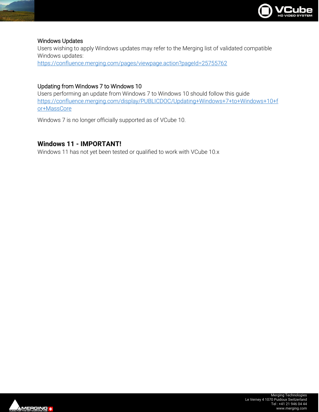

#### Windows Updates

Users wishing to apply Windows updates may refer to the Merging list of validated compatible Windows updates: <https://confluence.merging.com/pages/viewpage.action?pageId=25755762>

#### Updating from Windows 7 to Windows 10

Users performing an update from Windows 7 to Windows 10 should follow this guide [https://confluence.merging.com/display/PUBLICDOC/Updating+Windows+7+to+Windows+10+f](https://confluence.merging.com/display/PUBLICDOC/Updating+Windows+7+to+Windows+10+for+MassCore) [or+MassCore](https://confluence.merging.com/display/PUBLICDOC/Updating+Windows+7+to+Windows+10+for+MassCore)

Windows 7 is no longer officially supported as of VCube 10.

#### <span id="page-6-0"></span>**Windows 11 - IMPORTANT!**

Windows 11 has not yet been tested or qualified to work with VCube 10.x

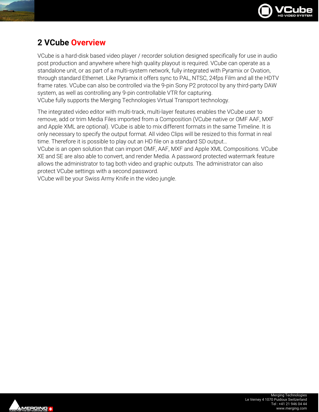

## **2 VCube Overview**

VCube is a hard-disk based video player / recorder solution designed specifically for use in audio post production and anywhere where high quality playout is required. VCube can operate as a standalone unit, or as part of a multi-system network, fully integrated with Pyramix or Ovation, through standard Ethernet. Like Pyramix it offers sync to PAL, NTSC, 24fps Film and all the HDTV frame rates. VCube can also be controlled via the 9-pin Sony P2 protocol by any third-party DAW system, as well as controlling any 9-pin controllable VTR for capturing. VCube fully supports the Merging Technologies Virtual Transport technology.

The integrated video editor with multi-track, multi-layer features enables the VCube user to remove, add or trim Media Files imported from a Composition (VCube native or OMF AAF, MXF and Apple XML are optional). VCube is able to mix different formats in the same Timeline. It is only necessary to specify the output format. All video Clips will be resized to this format in real time. Therefore it is possible to play out an HD file on a standard SD output…

VCube is an open solution that can import OMF, AAF, MXF and Apple XML Compositions. VCube XE and SE are also able to convert, and render Media. A password protected watermark feature allows the administrator to tag both video and graphic outputs. The administrator can also protect VCube settings with a second password.

VCube will be your Swiss Army Knife in the video jungle.

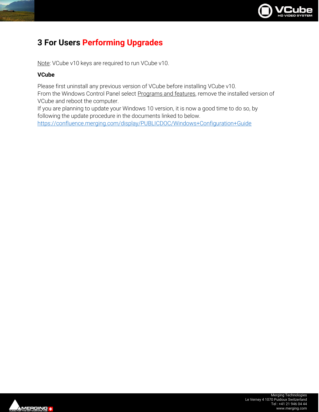

### <span id="page-8-0"></span>**3 For Users Performing Upgrades**

Note: VCube v10 keys are required to run VCube v10.

#### **VCube**

Please first uninstall any previous version of VCube before installing VCube v10.

From the Windows Control Panel select Programs and features, remove the installed version of VCube and reboot the computer.

If you are planning to update your Windows 10 version, it is now a good time to do so, by following the update procedure in the documents linked to below.

<https://confluence.merging.com/display/PUBLICDOC/Windows+Configuration+Guide>

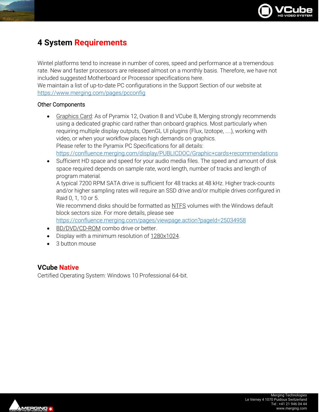

## <span id="page-9-0"></span>**4 System Requirements**

Wintel platforms tend to increase in number of cores, speed and performance at a tremendous rate. New and faster processors are released almost on a monthly basis. Therefore, we have not included suggested Motherboard or Processor specifications here.

We maintain a list of up-to-date PC configurations in the Support Section of our website at <https://www.merging.com/pages/pcconfig>

#### Other Components

- Graphics Card: As of Pyramix 12, Ovation 8 and VCube 8, Merging strongly recommends using a dedicated graphic card rather than onboard graphics. Most particularly when requiring multiple display outputs, OpenGL UI plugins (Flux, Izotope, ....), working with video, or when your workflow places high demands on graphics. Please refer to the Pyramix PC Specifications for all details: <https://confluence.merging.com/display/PUBLICDOC/Graphic+cards+recommendations>
- Sufficient HD space and speed for your audio media files. The speed and amount of disk space required depends on sample rate, word length, number of tracks and length of program material.

A typical 7200 RPM SATA drive is sufficient for 48 tracks at 48 kHz. Higher track-counts and/or higher sampling rates will require an SSD drive and/or multiple drives configured in Raid 0, 1, 10 or 5.

We recommend disks should be formatted as NTFS volumes with the Windows default block sectors size. For more details, please see

<https://confluence.merging.com/pages/viewpage.action?pageId=25034958>

- BD/DVD/CD-ROM combo drive or better.
- Display with a minimum resolution of 1280x1024.
- 3 button mouse

#### <span id="page-9-1"></span>**VCube Native**

Certified Operating System: Windows 10 Professional 64-bit.

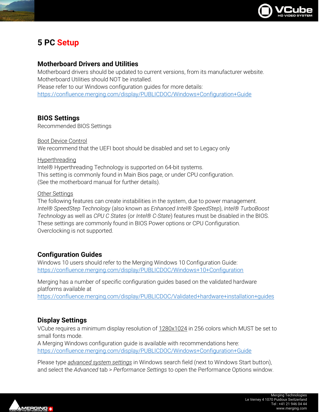

## <span id="page-10-0"></span>**5 PC Setup**

#### <span id="page-10-1"></span>**Motherboard Drivers and Utilities**

Motherboard drivers should be updated to current versions, from its manufacturer website. Motherboard Utilities should NOT be installed. Please refer to our Windows configuration guides for more details: <https://confluence.merging.com/display/PUBLICDOC/Windows+Configuration+Guide>

#### <span id="page-10-2"></span>**BIOS Settings**

Recommended BIOS Settings

Boot Device Control We recommend that the UEFI boot should be disabled and set to Legacy only

#### Hyperthreading

Intel® Hyperthreading Technology is supported on 64-bit systems. This setting is commonly found in Main Bios page, or under CPU configuration. (See the motherboard manual for further details).

#### Other Settings

The following features can create instabilities in the system, due to power management. *Intel® SpeedStep Technology* (also known as *Enhanced Intel® SpeedStep*), *Intel® TurboBoost Technology* as well as *CPU C States* (or *Intel® C-State*) features must be disabled in the BIOS. These settings are commonly found in BIOS Power options or CPU Configuration. Overclocking is not supported.

#### <span id="page-10-3"></span>**Configuration Guides**

Windows 10 users should refer to the Merging Windows 10 Configuration Guide: <https://confluence.merging.com/display/PUBLICDOC/Windows+10+Configuration>

Merging has a number of specific configuration guides based on the validated hardware platforms available at

<https://confluence.merging.com/display/PUBLICDOC/Validated+hardware+installation+guides>

#### <span id="page-10-4"></span>**Display Settings**

VCube requires a minimum display resolution of 1280x1024 in 256 colors which MUST be set to small fonts mode.

A Merging Windows configuration guide is available with recommendations here: <https://confluence.merging.com/display/PUBLICDOC/Windows+Configuration+Guide>

Please type *advanced system settings* in Windows search field (next to Windows Start button), and select the *Advanced* tab > *Performance Settings* to open the Performance Options window.

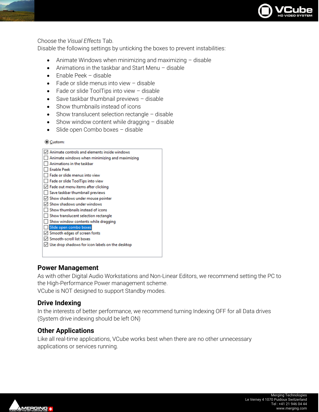

#### Choose the *Visual Effects* Tab.

Disable the following settings by unticking the boxes to prevent instabilities:

- Animate Windows when minimizing and maximizing disable
- Animations in the taskbar and Start Menu disable
- Enable Peek disable
- Fade or slide menus into view disable
- Fade or slide ToolTips into view disable
- Save taskbar thumbnail previews disable
- Show thumbnails instead of icons
- Show translucent selection rectangle disable
- Show window content while dragging disable
- Slide open Combo boxes disable

◎ Custom:

| Animate controls and elements inside windows           |
|--------------------------------------------------------|
| Animate windows when minimizing and maximizing         |
| Animations in the taskbar                              |
| <b>Enable Peek</b>                                     |
| Fade or slide menus into view                          |
| Fade or slide ToolTips into view                       |
| $\vee$ Fade out menu items after clicking              |
| Save taskbar thumbnail previews                        |
| $\vee$ Show shadows under mouse pointer                |
| $\vee$ Show shadows under windows                      |
| Show thumbnails instead of icons                       |
| Show translucent selection rectangle                   |
| Show window contents while dragging                    |
| Slide open combo boxes                                 |
| $\vee$ Smooth edges of screen fonts                    |
| ○ Smooth-scroll list boxes                             |
| $\vee$ Use drop shadows for icon labels on the desktop |
|                                                        |
|                                                        |

#### <span id="page-11-0"></span>**Power Management**

As with other Digital Audio Workstations and Non-Linear Editors, we recommend setting the PC to the High-Performance Power management scheme.

VCube is NOT designed to support Standby modes.

#### <span id="page-11-1"></span>**Drive Indexing**

In the interests of better performance, we recommend turning Indexing OFF for all Data drives (System drive indexing should be left ON)

#### <span id="page-11-2"></span>**Other Applications**

Like all real-time applications, VCube works best when there are no other unnecessary applications or services running.

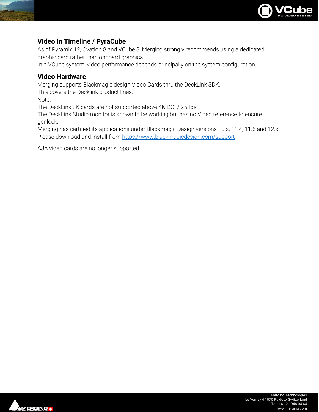

#### <span id="page-12-0"></span>**Video in Timeline / PyraCube**

As of Pyramix 12, Ovation 8 and VCube 8, Merging strongly recommends using a dedicated graphic card rather than onboard graphics.

In a VCube system, video performance depends principally on the system configuration.

#### <span id="page-12-1"></span>**Video Hardware**

Merging supports Blackmagic design Video Cards thru the DeckLink SDK.

This covers the Decklink product lines.

Note:

The DeckLink 8K cards are not supported above 4K DCI / 25 fps.

The DeckLink Studio monitor is known to be working but has no Video reference to ensure genlock.

Merging has certified its applications under Blackmagic Design versions 10.x, 11.4, 11.5 and 12.x. Please download and install from<https://www.blackmagicdesign.com/support>

AJA video cards are no longer supported.

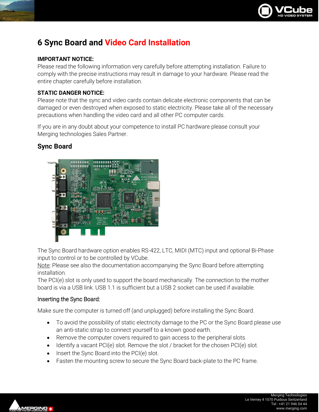

## <span id="page-13-0"></span>**6 Sync Board and Video Card Installation**

#### **IMPORTANT NOTICE:**

Please read the following information very carefully before attempting installation. Failure to comply with the precise instructions may result in damage to your hardware. Please read the entire chapter carefully before installation.

#### **STATIC DANGER NOTICE:**

Please note that the sync and video cards contain delicate electronic components that can be damaged or even destroyed when exposed to static electricity. Please take all of the necessary precautions when handling the video card and all other PC computer cards.

If you are in any doubt about your competence to install PC hardware please consult your Merging technologies Sales Partner.

#### <span id="page-13-1"></span>**Sync Board**



The Sync Board hardware option enables RS-422, LTC, MIDI (MTC) input and optional Bi-Phase input to control or to be controlled by VCube.

Note: Please see also the documentation accompanying the Sync Board before attempting installation.

The PCI(e) slot is only used to support the board mechanically. The connection to the mother board is via a USB link. USB 1.1 is sufficient but a USB 2 socket can be used if available.

#### Inserting the Sync Board:

Make sure the computer is turned off (and unplugged) before installing the Sync Board.

- To avoid the possibility of static electricity damage to the PC or the Sync Board please use an anti-static strap to connect yourself to a known good earth.
- Remove the computer covers required to gain access to the peripheral slots.
- Identify a vacant PCI(e) slot. Remove the slot / bracket for the chosen PCI(e) slot.
- Insert the Sync Board into the PCI(e) slot.
- Fasten the mounting screw to secure the Sync Board back-plate to the PC frame.

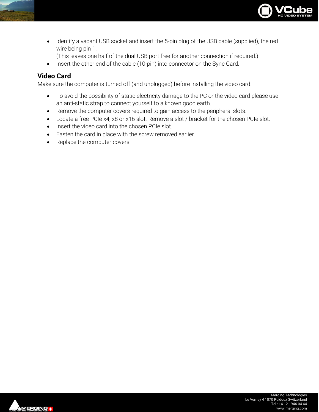

- Identify a vacant USB socket and insert the 5-pin plug of the USB cable (supplied), the red wire being pin 1.
	- (This leaves one half of the dual USB port free for another connection if required.)
- Insert the other end of the cable (10-pin) into connector on the Sync Card.

#### <span id="page-14-0"></span>**Video Card**

Make sure the computer is turned off (and unplugged) before installing the video card.

- To avoid the possibility of static electricity damage to the PC or the video card please use an anti-static strap to connect yourself to a known good earth.
- Remove the computer covers required to gain access to the peripheral slots.
- Locate a free PCIe x4, x8 or x16 slot. Remove a slot / bracket for the chosen PCIe slot.
- Insert the video card into the chosen PCIe slot.
- Fasten the card in place with the screw removed earlier.
- Replace the computer covers.

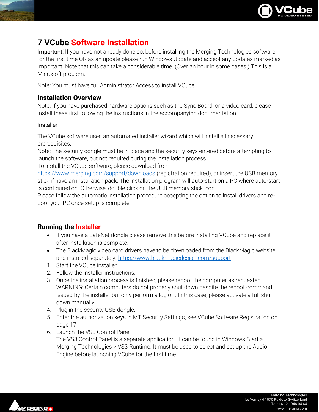

## <span id="page-15-0"></span>**7 VCube Software Installation**

Important! If you have not already done so, before installing the Merging Technologies software for the first time OR as an update please run Windows Update and accept any updates marked as Important. Note that this can take a considerable time. (Over an hour in some cases.) This is a Microsoft problem.

Note: You must have full Administrator Access to install VCube.

#### <span id="page-15-1"></span>**Installation Overview**

Note: If you have purchased hardware options such as the Sync Board, or a video card, please install these first following the instructions in the accompanying documentation.

#### **Installer**

The VCube software uses an automated installer wizard which will install all necessary prerequisites.

Note: The security dongle must be in place and the security keys entered before attempting to launch the software, but not required during the installation process.

To install the VCube software, please download from

<https://www.merging.com/support/downloads> (registration required), or insert the USB memory stick if have an installation pack. The installation program will auto-start on a PC where auto-start is configured on. Otherwise, double-click on the USB memory stick icon.

Please follow the automatic installation procedure accepting the option to install drivers and reboot your PC once setup is complete.

#### <span id="page-15-2"></span>**Running the Installer**

- If you have a SafeNet dongle please remove this before installing VCube and replace it after installation is complete.
- The BlackMagic video card drivers have to be downloaded from the BlackMagic website and installed separately[. https://www.blackmagicdesign.com/support](https://www.blackmagicdesign.com/support)
- 1. Start the VCube installer.
- 2. Follow the installer instructions.
- 3. Once the installation process is finished, please reboot the computer as requested. WARNING: Certain computers do not properly shut down despite the reboot command issued by the installer but only perform a log off. In this case, please activate a full shut down manually.
- 4. Plug in the security USB dongle.
- 5. Enter the authorization keys in MT Security Settings, see VCube Software Registration on page [17.](#page-17-0)
- 6. Launch the VS3 Control Panel.

The VS3 Control Panel is a separate application. It can be found in Windows Start > Merging Technologies > VS3 Runtime. It must be used to select and set up the Audio Engine before launching VCube for the first time.

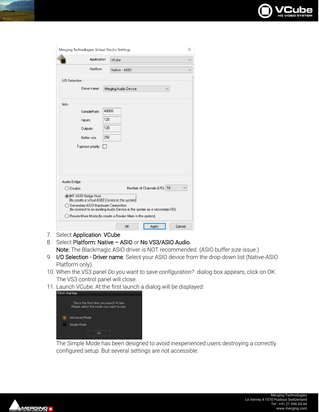

|               | Merging Technologies Virtual Studio Settings |       |                                                                           |
|---------------|----------------------------------------------|-------|---------------------------------------------------------------------------|
|               | Application                                  |       | VCube                                                                     |
|               | Platform                                     |       | Native - ASIO                                                             |
| I/O Selection |                                              |       |                                                                           |
|               | Driver name:                                 |       | Merging Audio Device                                                      |
| Info          |                                              |       |                                                                           |
|               | SampleRate:                                  | 48000 |                                                                           |
|               | Inputs:                                      | 128   |                                                                           |
|               | Outputs:                                     | 128   |                                                                           |
|               | <b>Buffer</b> size                           | 256   |                                                                           |
|               | Topmost priority                             |       |                                                                           |
|               |                                              |       |                                                                           |
|               |                                              |       |                                                                           |
|               |                                              |       |                                                                           |
| Audio Bridge  |                                              |       |                                                                           |
| Disable       |                                              |       | Number of Channels (1/0): 16                                              |
|               | MT ASIO Bridge Host                          |       | to create a virtual ASIO Device in the system)                            |
|               | Secondary ASIO Hardware Connection           |       | (to connect to an existing Audio Device in the system as a secondary I/O) |
|               |                                              |       | Rewire Mixer Mode (to create a Rewire Mixer in the system)                |
|               |                                              |       |                                                                           |

- 7. Select Application: VCube
- 8. Select Platform: Native ASIO or No VS3/ASIO Audio. Note: The Blackmagic ASIO driver is NOT recommended. (ASIO buffer size issue.)
- 9. I/O Selection Driver name: Select your ASIO device from the drop-down list (Native-ASIO Platform only).
- 10. When the VS3 panel *Do you want to save configuration?* dialog box appears, click on OK. The VS3 control panel will close.
- 11. Launch VCube. At the first launch a dialog will be displayed:

| <b>First startup</b> |                                                                                    |
|----------------------|------------------------------------------------------------------------------------|
|                      | This is the first time you launch VCube<br>Please select the mode you want to use: |
|                      | <b>Advanced Mode</b>                                                               |
|                      | Simple Mode                                                                        |
|                      | nk                                                                                 |

The Simple Mode has been designed to avoid inexperienced users destroying a correctly configured setup. But several settings are not accessible.

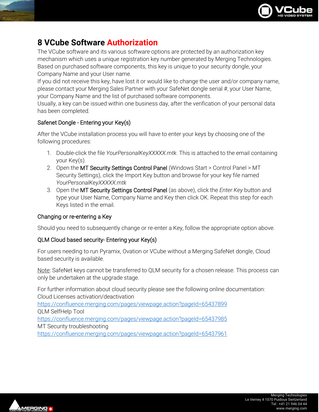

## <span id="page-17-0"></span>**8 VCube Software Authorization**

The VCube software and its various software options are protected by an authorization key mechanism which uses a unique registration key number generated by Merging Technologies. Based on purchased software components, this key is unique to your security dongle, your Company Name and your User name.

If you did not receive this key, have lost it or would like to change the user and/or company name, please contact your Merging Sales Partner with your SafeNet dongle serial #, your User Name, your Company Name and the list of purchased software components.

Usually, a key can be issued within one business day, after the verification of your personal data has been completed.

#### Safenet Dongle - Entering your Key(s)

After the VCube installation process you will have to enter your keys by choosing one of the following procedures:

- 1. Double-click the file *YourPersonalKeyXXXXX.mtk*. This is attached to the email containing your Key(s).
- 2. Open the MT Security Settings Control Panel (Windows Start > Control Panel > MT Security Settings), click the Import Key button and browse for your key file named *YourPersonalKeyXXXXX.mtk*
- 3. Open the MT Security Settings Control Panel (as above), click the *Enter Key* button and type your User Name, Company Name and Key then click OK. Repeat this step for each Keys listed in the email.

#### Changing or re-entering a Key

Should you need to subsequently change or re-enter a Key, follow the appropriate option above.

#### QLM Cloud based security- Entering your Key(s)

For users needing to run Pyramix, Ovation or VCube without a Merging SafeNet dongle, Cloud based security is available.

Note: SafeNet keys cannot be transferred to QLM security for a chosen release. This process can only be undertaken at the upgrade stage.

For further information about cloud security please see the following online documentation: Cloud Licenses activation/deactivation <https://confluence.merging.com/pages/viewpage.action?pageId=65437899> QLM SelfHelp Tool <https://confluence.merging.com/pages/viewpage.action?pageId=65437985> MT Security troubleshooting <https://confluence.merging.com/pages/viewpage.action?pageId=65437961>

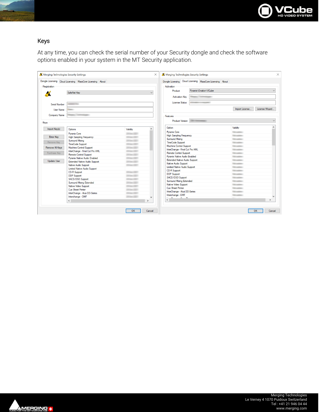

#### Keys

At any time, you can check the serial number of your Security dongle and check the software options enabled in your system in the MT Security application.

| Merging Technologies Security Settings                                                                           |                       | Merging Technologies Security Settings<br>$\times$           |                                                           |                                                                       |                                                                                         |  |
|------------------------------------------------------------------------------------------------------------------|-----------------------|--------------------------------------------------------------|-----------------------------------------------------------|-----------------------------------------------------------------------|-----------------------------------------------------------------------------------------|--|
| Dongle Licensing Cloud Licensing MassCore Licensing About                                                        |                       |                                                              | Dongle Licensing Cloud Licensing MassCore Licensing About |                                                                       |                                                                                         |  |
|                                                                                                                  |                       | Activation                                                   |                                                           |                                                                       |                                                                                         |  |
|                                                                                                                  |                       | Product                                                      |                                                           | $\checkmark$                                                          |                                                                                         |  |
| SafeNet Kev                                                                                                      | $\checkmark$          |                                                              |                                                           |                                                                       |                                                                                         |  |
|                                                                                                                  |                       | <b>Activation Key</b>                                        |                                                           |                                                                       |                                                                                         |  |
|                                                                                                                  |                       | License Status                                               |                                                           |                                                                       |                                                                                         |  |
| <b>COLLANS</b>                                                                                                   |                       |                                                              |                                                           |                                                                       |                                                                                         |  |
| <b>User Name</b><br><b>Security</b>                                                                              |                       |                                                              |                                                           | Import License                                                        | License Wizard                                                                          |  |
|                                                                                                                  |                       |                                                              |                                                           |                                                                       |                                                                                         |  |
| <b>September 1980</b>                                                                                            |                       | Features                                                     |                                                           |                                                                       |                                                                                         |  |
|                                                                                                                  |                       |                                                              | Product Version                                           |                                                                       | $\checkmark$                                                                            |  |
|                                                                                                                  |                       |                                                              |                                                           |                                                                       |                                                                                         |  |
| Options                                                                                                          | $\lambda$<br>Validity | Option                                                       |                                                           | Validity                                                              |                                                                                         |  |
|                                                                                                                  |                       | <b>Pyramix Core</b>                                          |                                                           | <b>Tel: call and</b>                                                  |                                                                                         |  |
| <b>Pyramix Core</b>                                                                                              | <b>Black Cold</b>     | <b>High Sampling Frequency</b>                               |                                                           | <b>The company</b>                                                    |                                                                                         |  |
| <b>High Sampling Frequency</b>                                                                                   | <b>STORY COLL</b>     | <b>Surround Mixing</b>                                       |                                                           | <b>Telephone</b>                                                      |                                                                                         |  |
| <b>Surround Mixing</b>                                                                                           | <b>STANDERS</b>       | <b>TimeCode Support</b>                                      |                                                           | <b>Telephone</b>                                                      |                                                                                         |  |
| <b>TimeCode Support</b>                                                                                          | <b>State Corp.</b>    | <b>Machine Control Support</b>                               |                                                           | <b>Telephone</b>                                                      |                                                                                         |  |
| Machine Control Support                                                                                          | $200 - 220$           | InterChange - Final Cut Pro XML                              |                                                           | <b>The company</b>                                                    |                                                                                         |  |
| InterChange - Final Cut Pro XML                                                                                  | <b>START COMPANY</b>  | <b>Remote Control Support</b>                                |                                                           | <b>The company</b>                                                    |                                                                                         |  |
| <b>Remote Control Support</b>                                                                                    | <b>STONE COLL</b>     |                                                              | Pyramix Native Audio Enabled                              |                                                                       |                                                                                         |  |
| Pyramix Native Audio Enabled<br><b>State Corp.</b><br><b>Extended Native Audio Support</b><br><b>State Corp.</b> |                       | <b>Extended Native Audio Support</b><br>Native Audio Support |                                                           | <b>The American</b>                                                   | <b>Telephone</b>                                                                        |  |
|                                                                                                                  |                       |                                                              |                                                           | <b>The American</b>                                                   |                                                                                         |  |
| Native Audio Support                                                                                             | <b>State Corp.</b>    | Limited Native Audio Support                                 |                                                           | <b>Structure</b>                                                      |                                                                                         |  |
| <b>Limited Native Audio Support</b>                                                                              |                       | <b>CD-R Support</b>                                          |                                                           | <b>The American</b>                                                   |                                                                                         |  |
| <b>CD-R Support</b>                                                                                              | <b>State Corp.</b>    | <b>DDP</b> Support                                           |                                                           | <b>Television</b>                                                     |                                                                                         |  |
| <b>DDP</b> Support                                                                                               | <b>STANDARD</b>       | SACD/DSD Support                                             |                                                           | <b>The American</b>                                                   |                                                                                         |  |
| SACD/DSD Support                                                                                                 | <b>STANDARD</b>       | Surround Mixing Extended                                     |                                                           | <b>The American</b>                                                   |                                                                                         |  |
| Surround Mixing Extended                                                                                         | <b>Black Cold</b>     |                                                              |                                                           |                                                                       |                                                                                         |  |
| Native Video Support                                                                                             | <b>STORY COLL</b>     |                                                              |                                                           |                                                                       |                                                                                         |  |
| <b>Cue Sheet Printer</b>                                                                                         | <b>State Color</b>    |                                                              |                                                           |                                                                       |                                                                                         |  |
| InterChange - Akai DD-Series                                                                                     | <b>State Corp.</b>    |                                                              |                                                           |                                                                       |                                                                                         |  |
| Interchange - OMF                                                                                                | <b>STANDERS</b>       |                                                              |                                                           |                                                                       |                                                                                         |  |
| $\left\langle \quad \right\rangle$                                                                               | $\rightarrow$         | $\left\langle \cdot \right\rangle$                           |                                                           |                                                                       | $\rightarrow$                                                                           |  |
|                                                                                                                  |                       | OK<br>Cancel                                                 | Cue Sheet Printer<br>Interchange - OMF<br><b>COMPANY</b>  | Native Video Support<br>InterChange - Akai DD-Series<br>$\sim$ $\sim$ | <b>SECURITY</b><br><b>The contract</b><br><b>The contract</b><br><b>Telephone</b><br>OK |  |

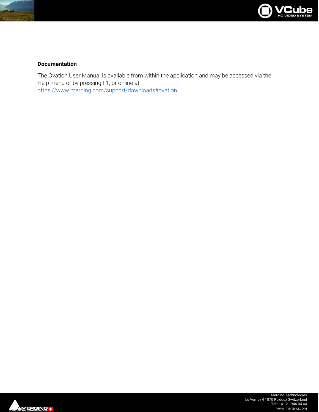

#### **Documentation**

The Ovation User Manual is available from within the application and may be accessed via the Help menu or by pressing F1, or online at <https://www.merging.com/support/downloads#ovation>

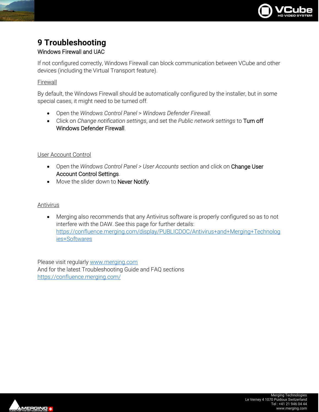

# <span id="page-20-0"></span>**9 Troubleshooting**

Windows Firewall and UAC

If not configured correctly, Windows Firewall can block communication between VCube and other devices (including the Virtual Transport feature).

#### Firewall

By default, the Windows Firewall should be automatically configured by the installer, but in some special cases, it might need to be turned off.

- Open the *Windows Control Panel* > *Windows Defender Firewall.*
- Click on *Change notification settings*, and set the *Public network settings* to Turn off Windows Defender Firewall.

#### User Account Control

- Open the *Windows Control Panel > User Accounts* section and click on Change User Account Control Settings.
- Move the slider down to Never Notify.

#### Antivirus

• Merging also recommends that any Antivirus software is properly configured so as to not interfere with the DAW. See this page for further details: [https://confluence.merging.com/display/PUBLICDOC/Antivirus+and+Merging+Technolog](https://confluence.merging.com/display/PUBLICDOC/Antivirus+and+Merging+Technologies+Softwares) [ies+Softwares](https://confluence.merging.com/display/PUBLICDOC/Antivirus+and+Merging+Technologies+Softwares)

Please visit regularl[y www.merging.com](http://www.merging.com/) And for the latest Troubleshooting Guide and FAQ sections <https://confluence.merging.com/>

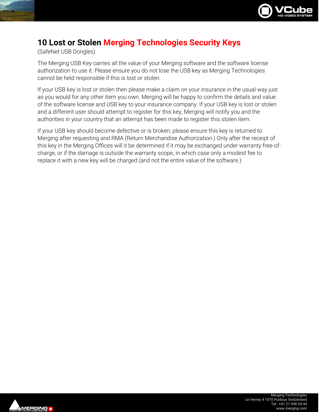

## <span id="page-21-0"></span>**10 Lost or Stolen Merging Technologies Security Keys**

(SafeNet USB Dongles)

The Merging USB Key carries all the value of your Merging software and the software license authorization to use it. Please ensure you do not lose the USB key as Merging Technologies cannot be held responsible if this is lost or stolen.

If your USB key is lost or stolen then please make a claim on your insurance in the usual way just as you would for any other item you own. Merging will be happy to confirm the details and value of the software license and USB key to your insurance company. If your USB key is lost or stolen and a different user should attempt to register for this key, Merging will notify you and the authorities in your country that an attempt has been made to register this stolen item.

If your USB key should become defective or is broken, please ensure this key is returned to Merging after requesting and RMA (Return Merchandise Authorization.) Only after the receipt of this key in the Merging Offices will it be determined if it may be exchanged under warranty free-ofcharge, or if the damage is outside the warranty scope, in which case only a modest fee to replace it with a new key will be charged (and not the entire value of the software.)

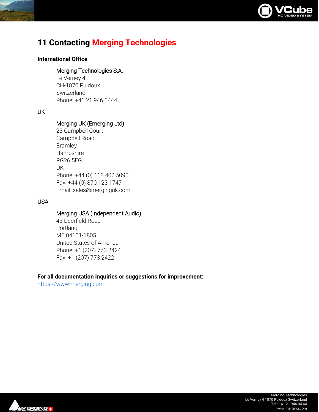

## <span id="page-22-0"></span>**11 Contacting Merging Technologies**

#### **International Office**

#### Merging Technologies S.A.

Le Verney 4 CH-1070 Puidoux **Switzerland** Phone: +41 21 946 0444

#### UK

#### Merging UK (Emerging Ltd)

| 23 Campbell Court           |
|-----------------------------|
| Campbell Road               |
| <b>Bramley</b>              |
| Hampshire                   |
| <b>RG26 5EG</b>             |
| UK                          |
| Phone: +44 (0) 118 402 5090 |
| Fax: +44 (0) 870 123 1747   |
| Email: sales@merginguk.com  |

#### USA

#### Merging USA (Independent Audio)

43 Deerfield Road Portland, ME 04101-1805 United States of America Phone: +1 (207) 773 2424 Fax: +1 (207) 773 2422

#### **For all documentation inquiries or suggestions for improvement:**

[https://www.merging.com](https://www.merging.com/)